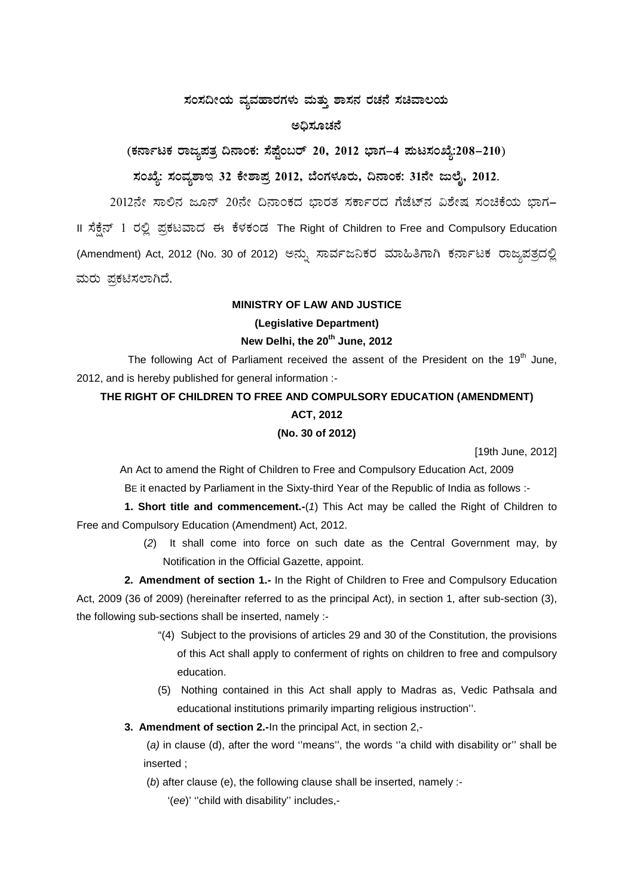# ಸಂಸದೀಯ ವ್ಯವಹಾರಗಳು ಮತ್ತು ಶಾಸನ ರಚನೆ ಸಚಿವಾಲಯ

#### ಅದಿಸೂಚನೆ

## (ಕರ್ನಾಟಕ ರಾಜ್ಯಪತ್ರ ದಿನಾಂಕ: ಸೆಪ್ಟೆಂಬರ್ 20, 2012 ಭಾಗ–4 ಮಟಸಂಖ್ಯೆ:208–210)

#### ಸಂಖ್ಯೆ: ಸಂವ್ಯಶಾಇ 32 ಕೇಶಾಪ್ರ 2012, ಬೆಂಗಳೂರು, ದಿನಾಂಕ: 31ನೇ ಜುಲೈ, 2012.

2012ನೇ ಸಾಲಿನ ಜೂನ್ 20ನೇ ದಿನಾಂಕದ ಭಾರತ ಸರ್ಕಾರದ ಗೆಜೆಟ್ ವಿಶೇಷ ಸಂಚಿಕೆಯ ಭಾಗ-Il ಸೆಕ್ಷೆನ್ 1 ರಲ್ಲಿ ಪ್ರಕಟವಾದ ಈ ಕೆಳಕಂಡ The Right of Children to Free and Compulsory Education (Amendment) Act, 2012 (No. 30 of 2012) ಅನ್ನು ಸಾರ್ವಜನಿಕರ ಮಾಹಿತಿಗಾಗಿ ಕರ್ನಾಟಕ ರಾಜ್ಯಪತ್ರದಲ್ಲಿ ಮರು ಪ್ರಕಟಿಸಲಾಗಿದೆ.

### **MINISTRY OF LAW AND JUSTICE** (Legislative Department) New Delhi, the 20<sup>th</sup> June, 2012

The following Act of Parliament received the assent of the President on the 19<sup>th</sup> June, 2012, and is hereby published for general information :-

### THE RIGHT OF CHILDREN TO FREE AND COMPULSORY EDUCATION (AMENDMENT) **ACT, 2012** (No. 30 of 2012)

[19th June, 2012]

An Act to amend the Right of Children to Free and Compulsory Education Act, 2009

BE it enacted by Parliament in the Sixty-third Year of the Republic of India as follows :-

1. Short title and commencement.-(1) This Act may be called the Right of Children to Free and Compulsory Education (Amendment) Act, 2012.

> (2) It shall come into force on such date as the Central Government may, by Notification in the Official Gazette, appoint.

2. Amendment of section 1.- In the Right of Children to Free and Compulsory Education Act, 2009 (36 of 2009) (hereinafter referred to as the principal Act), in section 1, after sub-section (3), the following sub-sections shall be inserted, namely :-

- "(4) Subject to the provisions of articles 29 and 30 of the Constitution, the provisions of this Act shall apply to conferment of rights on children to free and compulsory education.
- (5) Nothing contained in this Act shall apply to Madras as, Vedic Pathsala and educational institutions primarily imparting religious instruction".
- 3. Amendment of section 2.-In the principal Act, in section 2,-

(a) in clause (d), after the word "means", the words "a child with disability or" shall be inserted :

(b) after clause (e), the following clause shall be inserted, namely :-

'(ee)' "child with disability" includes,-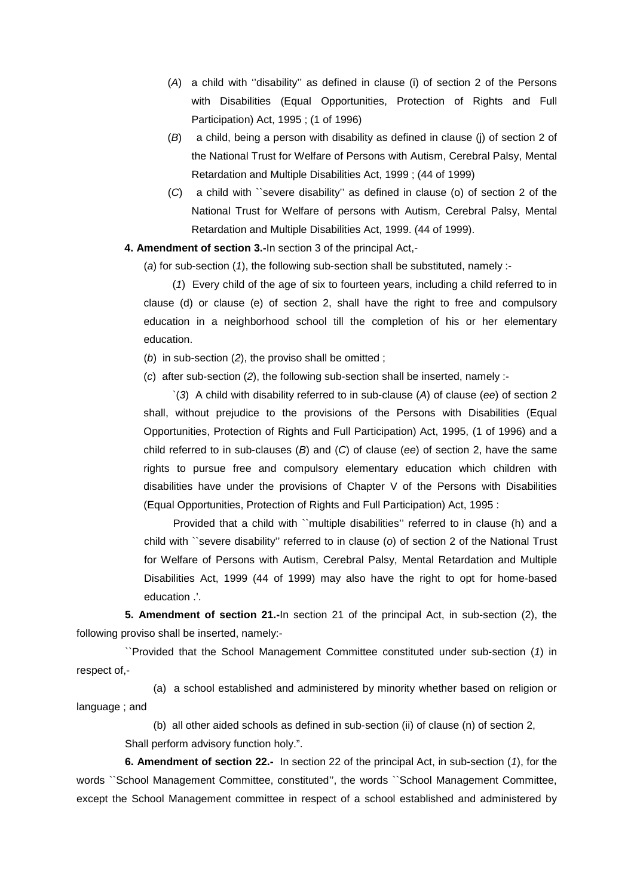- (*A*) a child with ''disability'' as defined in clause (i) of section 2 of the Persons with Disabilities (Equal Opportunities, Protection of Rights and Full Participation) Act, 1995 ; (1 of 1996)
- (*B*) a child, being a person with disability as defined in clause (j) of section 2 of the National Trust for Welfare of Persons with Autism, Cerebral Palsy, Mental Retardation and Multiple Disabilities Act, 1999 ; (44 of 1999)
- (*C*) a child with ``severe disability'' as defined in clause (o) of section 2 of the National Trust for Welfare of persons with Autism, Cerebral Palsy, Mental Retardation and Multiple Disabilities Act, 1999. (44 of 1999).

**4. Amendment of section 3.-**In section 3 of the principal Act,-

(*a*) for sub-section (*1*), the following sub-section shall be substituted, namely :-

(*1*) Every child of the age of six to fourteen years, including a child referred to in clause (d) or clause (e) of section 2, shall have the right to free and compulsory education in a neighborhood school till the completion of his or her elementary education.

(*b*) in sub-section (*2*), the proviso shall be omitted ;

(*c*) after sub-section (*2*), the following sub-section shall be inserted, namely :-

`(*3*) A child with disability referred to in sub-clause (*A*) of clause (*ee*) of section 2 shall, without prejudice to the provisions of the Persons with Disabilities (Equal Opportunities, Protection of Rights and Full Participation) Act, 1995, (1 of 1996) and a child referred to in sub-clauses (*B*) and (*C*) of clause (*ee*) of section 2, have the same rights to pursue free and compulsory elementary education which children with disabilities have under the provisions of Chapter V of the Persons with Disabilities (Equal Opportunities, Protection of Rights and Full Participation) Act, 1995 :

Provided that a child with ``multiple disabilities'' referred to in clause (h) and a child with ``severe disability'' referred to in clause (*o*) of section 2 of the National Trust for Welfare of Persons with Autism, Cerebral Palsy, Mental Retardation and Multiple Disabilities Act, 1999 (44 of 1999) may also have the right to opt for home-based education .'.

**5. Amendment of section 21.-**In section 21 of the principal Act, in sub-section (2), the following proviso shall be inserted, namely:-

``Provided that the School Management Committee constituted under sub-section (*1*) in respect of,-

(a) a school established and administered by minority whether based on religion or language ; and

(b) all other aided schools as defined in sub-section (ii) of clause (n) of section 2,

Shall perform advisory function holy.".

**6. Amendment of section 22.-** In section 22 of the principal Act, in sub-section (*1*), for the words ``School Management Committee, constituted'', the words ``School Management Committee, except the School Management committee in respect of a school established and administered by